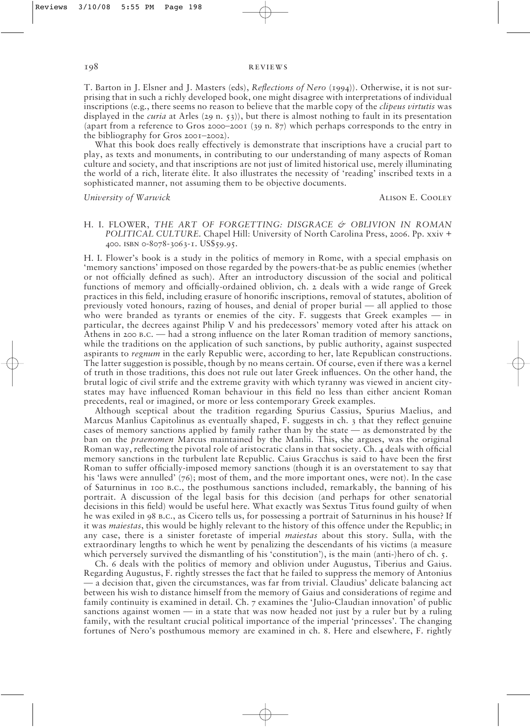#### reviews

T. Barton in J. Elsner and J. Masters (eds), *Reflections of Nero* (1994)). Otherwise, it is not surprising that in such a richly developed book, one might disagree with interpretations of individual inscriptions (e.g., there seems no reason to believe that the marble copy of the *clipeus virtutis* was displayed in the *curia* at Arles (29 n. 53)), but there is almost nothing to fault in its presentation (apart from a reference to Gros 2000–2001 (39 n. 87) which perhaps corresponds to the entry in the bibliography for Gros 2001–2002).

What this book does really effectively is demonstrate that inscriptions have a crucial part to play, as texts and monuments, in contributing to our understanding of many aspects of Roman culture and society, and that inscriptions are not just of limited historical use, merely illuminating the world of a rich, literate élite. It also illustrates the necessity of 'reading' inscribed texts in a sophisticated manner, not assuming them to be objective documents.

*University of Warwick* **ALISON E. COOLEY** 

# H. I. FLOWER, *THE ART OF FORGETTING: DISGRACE & OBLIVION IN ROMAN POLITICAL CULTURE*. Chapel Hill: University of North Carolina Press, 2006. Pp. xxiv + 400. isbn 0-8078-3063-1. US\$59.95.

H. I. Flower's book is a study in the politics of memory in Rome, with a special emphasis on 'memory sanctions' imposed on those regarded by the powers-that-be as public enemies (whether or not officially defined as such). After an introductory discussion of the social and political functions of memory and officially-ordained oblivion, ch. 2 deals with a wide range of Greek practices in this field, including erasure of honorific inscriptions, removal of statutes, abolition of previously voted honours, razing of houses, and denial of proper burial — all applied to those who were branded as tyrants or enemies of the city. F. suggests that Greek examples — in particular, the decrees against Philip V and his predecessors' memory voted after his attack on Athens in 200 b.c. — had a strong influence on the later Roman tradition of memory sanctions, while the traditions on the application of such sanctions, by public authority, against suspected aspirants to *regnum* in the early Republic were, according to her, late Republican constructions. The latter suggestion is possible, though by no means certain. Of course, even if there was a kernel of truth in those traditions, this does not rule out later Greek influences. On the other hand, the brutal logic of civil strife and the extreme gravity with which tyranny was viewed in ancient citystates may have influenced Roman behaviour in this field no less than either ancient Roman precedents, real or imagined, or more or less contemporary Greek examples.

Although sceptical about the tradition regarding Spurius Cassius, Spurius Maelius, and Marcus Manlius Capitolinus as eventually shaped, F. suggests in ch. 3 that they reflect genuine cases of memory sanctions applied by family rather than by the state — as demonstrated by the ban on the *praenomen* Marcus maintained by the Manlii. This, she argues, was the original Roman way, reflecting the pivotal role of aristocratic clans in that society. Ch. 4 deals with official memory sanctions in the turbulent late Republic. Caius Gracchus is said to have been the first Roman to suffer officially-imposed memory sanctions (though it is an overstatement to say that his 'laws were annulled' (76); most of them, and the more important ones, were not). In the case of Saturninus in 100 b.c., the posthumous sanctions included, remarkably, the banning of his portrait. A discussion of the legal basis for this decision (and perhaps for other senatorial decisions in this field) would be useful here. What exactly was Sextus Titus found guilty of when he was exiled in 98 b.c., as Cicero tells us, for possessing a portrait of Saturninus in his house? If it was *maiestas*, this would be highly relevant to the history of this offence under the Republic; in any case, there is a sinister foretaste of imperial *maiestas* about this story. Sulla, with the extraordinary lengths to which he went by penalizing the descendants of his victims (a measure which perversely survived the dismantling of his 'constitution'), is the main (anti-)hero of ch. 5.

Ch. 6 deals with the politics of memory and oblivion under Augustus, Tiberius and Gaius. Regarding Augustus, F. rightly stresses the fact that he failed to suppress the memory of Antonius — a decision that, given the circumstances, was far from trivial. Claudius' delicate balancing act between his wish to distance himself from the memory of Gaius and considerations of regime and family continuity is examined in detail. Ch. 7 examines the 'Julio-Claudian innovation' of public sanctions against women — in a state that was now headed not just by a ruler but by a ruling family, with the resultant crucial political importance of the imperial 'princesses'. The changing fortunes of Nero's posthumous memory are examined in ch. 8. Here and elsewhere, F. rightly

198